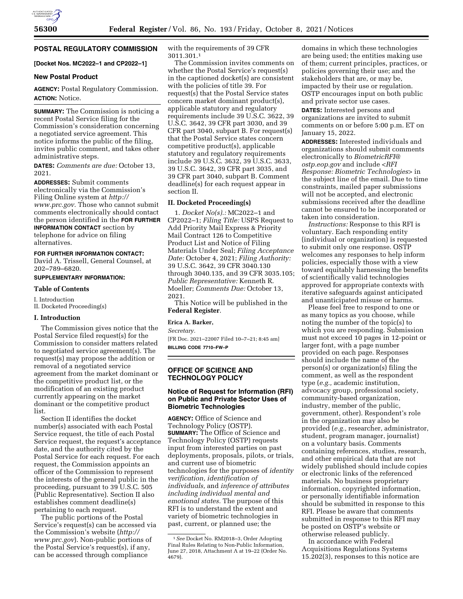

# **POSTAL REGULATORY COMMISSION**

# **[Docket Nos. MC2022–1 and CP2022–1]**

#### **New Postal Product**

**AGENCY:** Postal Regulatory Commission. **ACTION:** Notice.

**SUMMARY:** The Commission is noticing a recent Postal Service filing for the Commission's consideration concerning a negotiated service agreement. This notice informs the public of the filing, invites public comment, and takes other administrative steps.

**DATES:** *Comments are due:* October 13, 2021.

**ADDRESSES:** Submit comments electronically via the Commission's Filing Online system at *[http://](http://www.prc.gov) [www.prc.gov.](http://www.prc.gov)* Those who cannot submit comments electronically should contact the person identified in the **FOR FURTHER INFORMATION CONTACT** section by telephone for advice on filing alternatives.

**FOR FURTHER INFORMATION CONTACT:** 

David A. Trissell, General Counsel, at 202–789–6820.

#### **SUPPLEMENTARY INFORMATION:**

#### **Table of Contents**

I. Introduction II. Docketed Proceeding(s)

# **I. Introduction**

The Commission gives notice that the Postal Service filed request(s) for the Commission to consider matters related to negotiated service agreement(s). The request(s) may propose the addition or removal of a negotiated service agreement from the market dominant or the competitive product list, or the modification of an existing product currently appearing on the market dominant or the competitive product list.

Section II identifies the docket number(s) associated with each Postal Service request, the title of each Postal Service request, the request's acceptance date, and the authority cited by the Postal Service for each request. For each request, the Commission appoints an officer of the Commission to represent the interests of the general public in the proceeding, pursuant to 39 U.S.C. 505 (Public Representative). Section II also establishes comment deadline(s) pertaining to each request.

The public portions of the Postal Service's request(s) can be accessed via the Commission's website (*[http://](http://www.prc.gov) [www.prc.gov](http://www.prc.gov)*). Non-public portions of the Postal Service's request(s), if any, can be accessed through compliance

with the requirements of 39 CFR 3011.301.1

The Commission invites comments on whether the Postal Service's request(s) in the captioned docket(s) are consistent with the policies of title 39. For request(s) that the Postal Service states concern market dominant product(s), applicable statutory and regulatory requirements include 39 U.S.C. 3622, 39 U.S.C. 3642, 39 CFR part 3030, and 39 CFR part 3040, subpart B. For request(s) that the Postal Service states concern competitive product(s), applicable statutory and regulatory requirements include 39 U.S.C. 3632, 39 U.S.C. 3633, 39 U.S.C. 3642, 39 CFR part 3035, and 39 CFR part 3040, subpart B. Comment deadline(s) for each request appear in section II.

## **II. Docketed Proceeding(s)**

1. *Docket No(s).:* MC2022–1 and CP2022–1; *Filing Title:* USPS Request to Add Priority Mail Express & Priority Mail Contract 126 to Competitive Product List and Notice of Filing Materials Under Seal; *Filing Acceptance Date:* October 4, 2021; *Filing Authority:*  39 U.S.C. 3642, 39 CFR 3040.130 through 3040.135, and 39 CFR 3035.105; *Public Representative:* Kenneth R. Moeller; *Comments Due:* October 13, 2021.

This Notice will be published in the **Federal Register**.

## **Erica A. Barker,**

*Secretary.* 

[FR Doc. 2021–22007 Filed 10–7–21; 8:45 am] **BILLING CODE 7710–FW–P** 

# **OFFICE OF SCIENCE AND TECHNOLOGY POLICY**

## **Notice of Request for Information (RFI) on Public and Private Sector Uses of Biometric Technologies**

**AGENCY:** Office of Science and Technology Policy (OSTP). **SUMMARY:** The Office of Science and Technology Policy (OSTP) requests input from interested parties on past deployments, proposals, pilots, or trials, and current use of biometric technologies for the purposes of *identity verification, identification of individuals,* and *inference of attributes including individual mental and emotional states.* The purpose of this RFI is to understand the extent and variety of biometric technologies in past, current, or planned use; the

domains in which these technologies are being used; the entities making use of them; current principles, practices, or policies governing their use; and the stakeholders that are, or may be, impacted by their use or regulation. OSTP encourages input on both public and private sector use cases.

**DATES:** Interested persons and organizations are invited to submit comments on or before 5:00 p.m. ET on January 15, 2022.

**ADDRESSES:** Interested individuals and organizations should submit comments electronically to *[BiometricRFI@](mailto:BiometricRFI@ostp.eop.gov) [ostp.eop.gov](mailto:BiometricRFI@ostp.eop.gov)* and include <*RFI Response: Biometric Technologies*> in the subject line of the email. Due to time constraints, mailed paper submissions will not be accepted, and electronic submissions received after the deadline cannot be ensured to be incorporated or taken into consideration.

*Instructions:* Response to this RFI is voluntary. Each responding entity (individual or organization) is requested to submit only one response. OSTP welcomes any responses to help inform policies, especially those with a view toward equitably harnessing the benefits of scientifically valid technologies approved for appropriate contexts with iterative safeguards against anticipated and unanticipated misuse or harms.

Please feel free to respond to one or as many topics as you choose, while noting the number of the topic(s) to which you are responding. Submission must not exceed 10 pages in 12-point or larger font, with a page number provided on each page. Responses should include the name of the person(s) or organization(s) filing the comment, as well as the respondent type (*e.g.,* academic institution, advocacy group, professional society, community-based organization, industry, member of the public, government, other). Respondent's role in the organization may also be provided (*e.g.,* researcher, administrator, student, program manager, journalist) on a voluntary basis. Comments containing references, studies, research, and other empirical data that are not widely published should include copies or electronic links of the referenced materials. No business proprietary information, copyrighted information, or personally identifiable information should be submitted in response to this RFI. Please be aware that comments submitted in response to this RFI may be posted on OSTP's website or otherwise released publicly.

In accordance with Federal Acquisitions Regulations Systems 15.202(3), responses to this notice are

<sup>1</sup>*See* Docket No. RM2018–3, Order Adopting Final Rules Relating to Non-Public Information, June 27, 2018, Attachment A at 19–22 (Order No. 4679).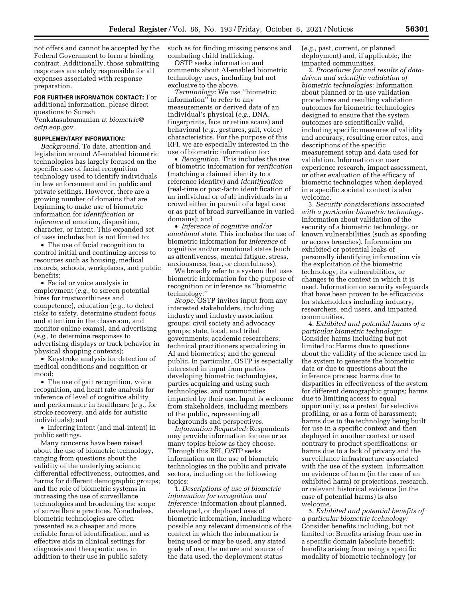not offers and cannot be accepted by the Federal Government to form a binding contract. Additionally, those submitting responses are solely responsible for all expenses associated with response preparation.

**FOR FURTHER INFORMATION CONTACT:** For

additional information, please direct questions to Suresh

Venkatasubramanian at *[biometric@](mailto:biometric@ostp.eop.gov) [ostp.eop.gov.](mailto:biometric@ostp.eop.gov)* 

## **SUPPLEMENTARY INFORMATION:**

*Background:* To date, attention and legislation around AI-enabled biometric technologies has largely focused on the specific case of facial recognition technology used to identify individuals in law enforcement and in public and private settings. However, there are a growing number of domains that are beginning to make use of biometric information for *identification* or *inference* of emotion, disposition, character, or intent. This expanded set of uses includes but is not limited to:

• The use of facial recognition to control initial and continuing access to resources such as housing, medical records, schools, workplaces, and public benefits;

• Facial or voice analysis in employment (*e.g.,* to screen potential hires for trustworthiness and competence), education (*e.g.,* to detect risks to safety, determine student focus and attention in the classroom, and monitor online exams), and advertising (*e.g.,* to determine responses to advertising displays or track behavior in physical shopping contexts);

• Keystroke analysis for detection of medical conditions and cognition or mood;

• The use of gait recognition, voice recognition, and heart rate analysis for inference of level of cognitive ability and performance in healthcare (*e.g.,* for stroke recovery, and aids for autistic individuals); and

• Inferring intent (and mal-intent) in public settings.

Many concerns have been raised about the use of biometric technology, ranging from questions about the validity of the underlying science; differential effectiveness, outcomes, and harms for different demographic groups; and the role of biometric systems in increasing the use of surveillance technologies and broadening the scope of surveillance practices. Nonetheless, biometric technologies are often presented as a cheaper and more reliable form of identification, and as effective aids in clinical settings for diagnosis and therapeutic use, in addition to their use in public safety

such as for finding missing persons and combating child trafficking.

OSTP seeks information and comments about AI-enabled biometric technology uses, including but not exclusive to the above.

*Terminology:* We use ''biometric information'' to refer to any measurements or derived data of an individual's physical (*e.g.,* DNA, fingerprints, face or retina scans) and behavioral (*e.g.,* gestures, gait, voice) characteristics. For the purpose of this RFI, we are especially interested in the use of biometric information for:

• *Recognition.* This includes the use of biometric information for *verification*  (matching a claimed identity to a reference identity) and *identification*  (real-time or post-facto identification of an individual or of all individuals in a crowd either in pursuit of a legal case or as part of broad surveillance in varied domains); and

• *Inference of cognitive and/or emotional state.* This includes the use of biometric information for *inference* of cognitive and/or emotional states (such as attentiveness, mental fatigue, stress, anxiousness, fear, or cheerfulness).

We broadly refer to a system that uses biometric information for the purpose of recognition or inference as ''biometric technology.''

*Scope:* OSTP invites input from any interested stakeholders, including industry and industry association groups; civil society and advocacy groups; state, local, and tribal governments; academic researchers; technical practitioners specializing in AI and biometrics; and the general public. In particular, OSTP is especially interested in input from parties developing biometric technologies, parties acquiring and using such technologies, and communities impacted by their use. Input is welcome from stakeholders, including members of the public, representing all backgrounds and perspectives.

*Information Requested:* Respondents may provide information for one or as many topics below as they choose. Through this RFI, OSTP seeks information on the use of biometric technologies in the public and private sectors, including on the following topics:

1. *Descriptions of use of biometric information for recognition and inference:* Information about planned, developed, or deployed uses of biometric information, including where possible any relevant dimensions of the context in which the information is being used or may be used, any stated goals of use, the nature and source of the data used, the deployment status

(*e.g.,* past, current, or planned deployment) and, if applicable, the impacted communities.

2. *Procedures for and results of datadriven and scientific validation of biometric technologies:* Information about planned or in-use validation procedures and resulting validation outcomes for biometric technologies designed to ensure that the system outcomes are scientifically valid, including specific measures of validity and accuracy, resulting error rates, and descriptions of the specific measurement setup and data used for validation. Information on user experience research, impact assessment, or other evaluation of the efficacy of biometric technologies when deployed in a specific societal context is also welcome.

3. *Security considerations associated with a particular biometric technology.*  Information about validation of the security of a biometric technology, or known vulnerabilities (such as spoofing or access breaches). Information on exhibited or potential leaks of personally identifying information via the exploitation of the biometric technology, its vulnerabilities, or changes to the context in which it is used. Information on security safeguards that have been proven to be efficacious for stakeholders including industry, researchers, end users, and impacted communities.

4. *Exhibited and potential harms of a particular biometric technology:*  Consider harms including but not limited to: Harms due to questions about the validity of the science used in the system to generate the biometric data or due to questions about the inference process; harms due to disparities in effectiveness of the system for different demographic groups; harms due to limiting access to equal opportunity, as a pretext for selective profiling, or as a form of harassment; harms due to the technology being built for use in a specific context and then deployed in another context or used contrary to product specifications; or harms due to a lack of privacy and the surveillance infrastructure associated with the use of the system. Information on evidence of harm (in the case of an exhibited harm) or projections, research, or relevant historical evidence (in the case of potential harms) is also welcome.

5. *Exhibited and potential benefits of a particular biometric technology:*  Consider benefits including, but not limited to: Benefits arising from use in a specific domain (absolute benefit); benefits arising from using a specific modality of biometric technology (or